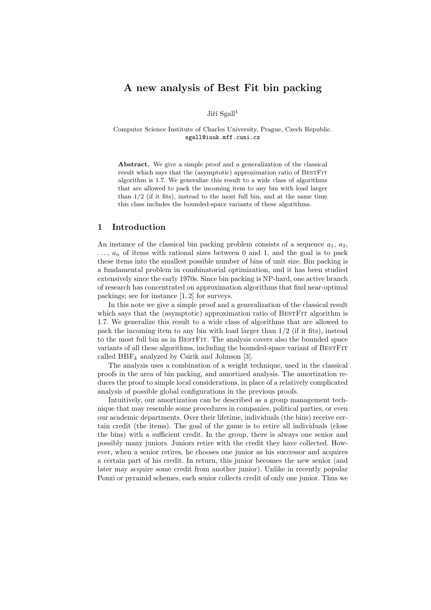# A new analysis of Best Fit bin packing

Jiří  $Sgall<sup>1</sup>$ 

Computer Science Institute of Charles University, Prague, Czech Republic. sgall@iuuk.mff.cuni.cz

Abstract. We give a simple proof and a generalization of the classical result which says that the (asymptotic) approximation ratio of BESTFIT algorithm is 1.7. We generalize this result to a wide class of algorithms that are allowed to pack the incoming item to any bin with load larger than 1/2 (if it fits), instead to the most full bin, and at the same time this class includes the bounded-space variants of these algorithms.

### 1 Introduction

An instance of the classical bin packing problem consists of a sequence  $a_1, a_2$ ,  $\ldots$ ,  $a_n$  of items with rational sizes between 0 and 1, and the goal is to pack these items into the smallest possible number of bins of unit size. Bin packing is a fundamental problem in combinatorial optimization, and it has been studied extensively since the early 1970s. Since bin packing is NP-hard, one active branch of research has concentrated on approximation algorithms that find near-optimal packings; see for instance [1, 2] for surveys.

In this note we give a simple proof and a generalization of the classical result which says that the (asymptotic) approximation ratio of BESTFIT algorithm is 1.7. We generalize this result to a wide class of algorithms that are allowed to pack the incoming item to any bin with load larger than  $1/2$  (if it fits), instead to the most full bin as in BestFit. The analysis covers also the bounded space variants of all these algorithms, including the bounded-space variant of BESTFIT called  $BBF_k$  analyzed by Csirik and Johnson [3].

The analysis uses a combination of a weight technique, used in the classical proofs in the area of bin packing, and amortized analysis. The amortization reduces the proof to simple local considerations, in place of a relatively complicated analysis of possible global configurations in the previous proofs.

Intuitively, our amortization can be described as a group management technique that may resemble some procedures in companies, political parties, or even our academic departments. Over their lifetime, individuals (the bins) receive certain credit (the items). The goal of the game is to retire all individuals (close the bins) with a sufficient credit. In the group, there is always one senior and possibly many juniors. Juniors retire with the credit they have collected. However, when a senior retires, he chooses one junior as his successor and acquires a certain part of his credit. In return, this junior becomes the new senior (and later may acquire some credit from another junior). Unlike in recently popular Ponzi or pyramid schemes, each senior collects credit of only one junior. Thus we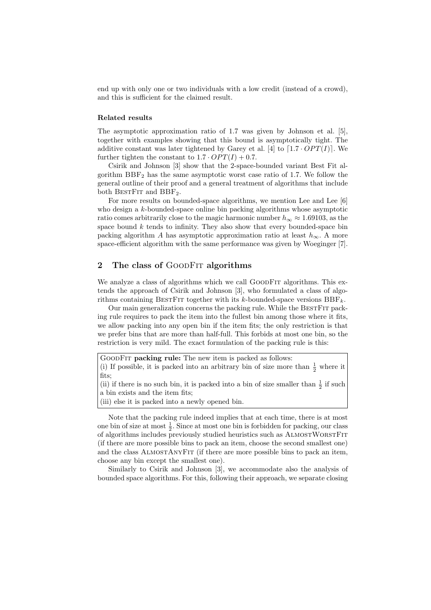end up with only one or two individuals with a low credit (instead of a crowd), and this is sufficient for the claimed result.

#### Related results

The asymptotic approximation ratio of 1.7 was given by Johnson et al. [5], together with examples showing that this bound is asymptotically tight. The additive constant was later tightened by Garey et al. [4] to  $[1.7 \cdot OPT(I)]$ . We further tighten the constant to  $1.7 \cdot OPT(I) + 0.7$ .

Csirik and Johnson [3] show that the 2-space-bounded variant Best Fit algorithm  $BBF<sub>2</sub>$  has the same asymptotic worst case ratio of 1.7. We follow the general outline of their proof and a general treatment of algorithms that include both BESTFIT and  $BBF_2$ .

For more results on bounded-space algorithms, we mention Lee and Lee [6] who design a k-bounded-space online bin packing algorithms whose asymptotic ratio comes arbitrarily close to the magic harmonic number  $h_{\infty} \approx 1.69103$ , as the space bound  $k$  tends to infinity. They also show that every bounded-space bin packing algorithm A has asymptotic approximation ratio at least  $h_{\infty}$ . A more space-efficient algorithm with the same performance was given by Woeginger [7].

## 2 The class of GOODFIT algorithms

We analyze a class of algorithms which we call GOODFIT algorithms. This extends the approach of Csirik and Johnson [3], who formulated a class of algorithms containing BESTFIT together with its k-bounded-space versions  $BBF_k$ .

Our main generalization concerns the packing rule. While the BestFit packing rule requires to pack the item into the fullest bin among those where it fits, we allow packing into any open bin if the item fits; the only restriction is that we prefer bins that are more than half-full. This forbids at most one bin, so the restriction is very mild. The exact formulation of the packing rule is this:



(ii) if there is no such bin, it is packed into a bin of size smaller than  $\frac{1}{2}$  if such a bin exists and the item fits;

(iii) else it is packed into a newly opened bin.

Note that the packing rule indeed implies that at each time, there is at most one bin of size at most  $\frac{1}{2}$ . Since at most one bin is forbidden for packing, our class of algorithms includes previously studied heuristics such as AlmostWorstFit (if there are more possible bins to pack an item, choose the second smallest one) and the class ALMOSTANYFIT (if there are more possible bins to pack an item, choose any bin except the smallest one).

Similarly to Csirik and Johnson [3], we accommodate also the analysis of bounded space algorithms. For this, following their approach, we separate closing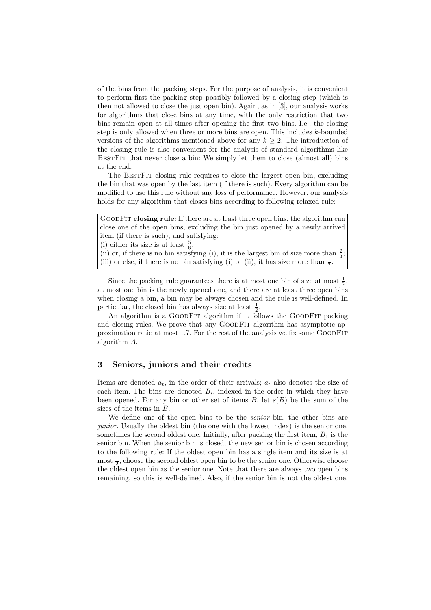of the bins from the packing steps. For the purpose of analysis, it is convenient to perform first the packing step possibly followed by a closing step (which is then not allowed to close the just open bin). Again, as in [3], our analysis works for algorithms that close bins at any time, with the only restriction that two bins remain open at all times after opening the first two bins. I.e., the closing step is only allowed when three or more bins are open. This includes k-bounded versions of the algorithms mentioned above for any  $k \geq 2$ . The introduction of the closing rule is also convenient for the analysis of standard algorithms like BestFit that never close a bin: We simply let them to close (almost all) bins at the end.

The BESTFIT closing rule requires to close the largest open bin, excluding the bin that was open by the last item (if there is such). Every algorithm can be modified to use this rule without any loss of performance. However, our analysis holds for any algorithm that closes bins according to following relaxed rule:

GoodFit closing rule: If there are at least three open bins, the algorithm can close one of the open bins, excluding the bin just opened by a newly arrived item (if there is such), and satisfying: (i) either its size is at least  $\frac{5}{6}$ ; (ii) or, if there is no bin satisfying (i), it is the largest bin of size more than  $\frac{2}{3}$ ;

(iii) or else, if there is no bin satisfying (i) or (ii), it has size more than  $\frac{1}{2}$ .

Since the packing rule guarantees there is at most one bin of size at most  $\frac{1}{2}$ , at most one bin is the newly opened one, and there are at least three open bins when closing a bin, a bin may be always chosen and the rule is well-defined. In particular, the closed bin has always size at least  $\frac{1}{2}$ .

An algorithm is a GOODFIT algorithm if it follows the GOODFIT packing and closing rules. We prove that any GoodFit algorithm has asymptotic approximation ratio at most 1.7. For the rest of the analysis we fix some GoodFit algorithm A.

### 3 Seniors, juniors and their credits

Items are denoted  $a_t$ , in the order of their arrivals;  $a_t$  also denotes the size of each item. The bins are denoted  $B_i$ , indexed in the order in which they have been opened. For any bin or other set of items  $B$ , let  $s(B)$  be the sum of the sizes of the items in B.

We define one of the open bins to be the senior bin, the other bins are junior. Usually the oldest bin (the one with the lowest index) is the senior one, sometimes the second oldest one. Initially, after packing the first item,  $B_1$  is the senior bin. When the senior bin is closed, the new senior bin is chosen according to the following rule: If the oldest open bin has a single item and its size is at most  $\frac{1}{2}$ , choose the second oldest open bin to be the senior one. Otherwise choose the oldest open bin as the senior one. Note that there are always two open bins remaining, so this is well-defined. Also, if the senior bin is not the oldest one,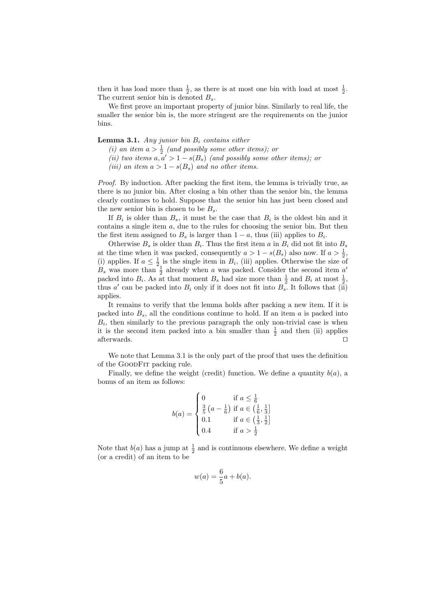then it has load more than  $\frac{1}{2}$ , as there is at most one bin with load at most  $\frac{1}{2}$ . The current senior bin is denoted  $B_s$ .

We first prove an important property of junior bins. Similarly to real life, the smaller the senior bin is, the more stringent are the requirements on the junior bins.

**Lemma 3.1.** Any junior bin  $B_i$  contains either

- (i) an item  $a > \frac{1}{2}$  (and possibly some other items); or
- (ii) two items  $a, a' > 1 s(B_s)$  (and possibly some other items); or
- (iii) an item  $a > 1 s(B_s)$  and no other items.

Proof. By induction. After packing the first item, the lemma is trivially true, as there is no junior bin. After closing a bin other than the senior bin, the lemma clearly continues to hold. Suppose that the senior bin has just been closed and the new senior bin is chosen to be  $B_s$ .

If  $B_i$  is older than  $B_s$ , it must be the case that  $B_i$  is the oldest bin and it contains a single item  $a$ , due to the rules for choosing the senior bin. But then the first item assigned to  $B_s$  is larger than  $1 - a$ , thus (iii) applies to  $B_i$ .

Otherwise  $B_s$  is older than  $B_i$ . Thus the first item a in  $B_i$  did not fit into  $B_s$ at the time when it was packed, consequently  $a > 1 - s(B_s)$  also now. If  $a > \frac{1}{2}$ , (i) applies. If  $a \leq \frac{1}{2}$  is the single item in  $B_i$ , (iii) applies. Otherwise the size of  $B_s$  was more than  $\frac{1}{2}$  already when a was packed. Consider the second item  $a'$ packed into  $B_i$ . As at that moment  $B_s$  had size more than  $\frac{1}{2}$  and  $B_i$  at most  $\frac{1}{2}$ , thus a' can be packed into  $B_i$  only if it does not fit into  $B_s$ . It follows that (ii) applies.

It remains to verify that the lemma holds after packing a new item. If it is packed into  $B_s$ , all the conditions continue to hold. If an item  $a$  is packed into  $B_i$ , then similarly to the previous paragraph the only non-trivial case is when it is the second item packed into a bin smaller than  $\frac{1}{2}$  and then (ii) applies afterwards.  $\square$ 

We note that Lemma 3.1 is the only part of the proof that uses the definition of the GoodFit packing rule.

Finally, we define the weight (credit) function. We define a quantity  $b(a)$ , a bonus of an item as follows:

$$
b(a) = \begin{cases} 0 & \text{if } a \leq \frac{1}{6} \\ \frac{3}{5} \left( a - \frac{1}{6} \right) \text{ if } a \in \left( \frac{1}{6}, \frac{1}{3} \right] \\ 0.1 & \text{if } a \in \left( \frac{1}{3}, \frac{1}{2} \right] \\ 0.4 & \text{if } a > \frac{1}{2} \end{cases}
$$

Note that  $b(a)$  has a jump at  $\frac{1}{2}$  and is continuous elsewhere. We define a weight (or a credit) of an item to be

$$
w(a) = \frac{6}{5}a + b(a).
$$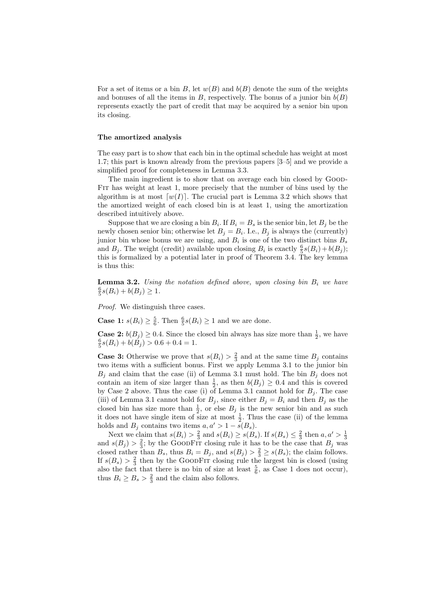For a set of items or a bin B, let  $w(B)$  and  $b(B)$  denote the sum of the weights and bonuses of all the items in B, respectively. The bonus of a junior bin  $b(B)$ represents exactly the part of credit that may be acquired by a senior bin upon its closing.

#### The amortized analysis

The easy part is to show that each bin in the optimal schedule has weight at most 1.7; this part is known already from the previous papers [3–5] and we provide a simplified proof for completeness in Lemma 3.3.

The main ingredient is to show that on average each bin closed by GOOD-Fit has weight at least 1, more precisely that the number of bins used by the algorithm is at most  $[w(I)]$ . The crucial part is Lemma 3.2 which shows that the amortized weight of each closed bin is at least 1, using the amortization described intuitively above.

Suppose that we are closing a bin  $B_i$ . If  $B_i = B_s$  is the senior bin, let  $B_j$  be the newly chosen senior bin; otherwise let  $B_j = B_i$ . I.e.,  $B_j$  is always the (currently) junior bin whose bonus we are using, and  $B_i$  is one of the two distinct bins  $B_s$ and  $B_j$ . The weight (credit) available upon closing  $B_i$  is exactly  $\frac{6}{5}s(B_i)+b(B_j)$ ; this is formalized by a potential later in proof of Theorem 3.4. The key lemma is thus this:

**Lemma 3.2.** Using the notation defined above, upon closing bin  $B_i$  we have  $\frac{6}{5}s(B_i)+b(B_j)\geq 1.$ 

Proof. We distinguish three cases.

**Case 1:**  $s(B_i) \ge \frac{5}{6}$ . Then  $\frac{6}{5}s(B_i) \ge 1$  and we are done.

**Case 2:**  $b(B_j) \ge 0.4$ . Since the closed bin always has size more than  $\frac{1}{2}$ , we have  $\frac{6}{5}s(B_i)+b(B_j) > 0.6+0.4 = 1.$ 

**Case 3:** Otherwise we prove that  $s(B_i) > \frac{2}{3}$  and at the same time  $B_j$  contains two items with a sufficient bonus. First we apply Lemma 3.1 to the junior bin  $B_j$  and claim that the case (ii) of Lemma 3.1 must hold. The bin  $B_j$  does not contain an item of size larger than  $\frac{1}{2}$ , as then  $b(B_j) \geq 0.4$  and this is covered by Case 2 above. Thus the case (i) of Lemma 3.1 cannot hold for  $B_j$ . The case (iii) of Lemma 3.1 cannot hold for  $B_j$ , since either  $B_j = B_i$  and then  $B_j$  as the closed bin has size more than  $\frac{1}{2}$ , or else  $B_j$  is the new senior bin and as such it does not have single item of size at most  $\frac{1}{2}$ . Thus the case (ii) of the lemma holds and  $B_i$  contains two items  $a, a' > 1 - \tilde{s}(B_s)$ .

Next we claim that  $s(B_i) > \frac{2}{3}$  and  $s(B_i) \ge s(B_s)$ . If  $s(B_s) \le \frac{2}{3}$  then  $a, a' > \frac{1}{3}$  and  $s(B_j) > \frac{2}{3}$ ; by the GOODFIT closing rule it has to be the case that  $B_j$  was closed rather than  $B_s$ , thus  $B_i = B_j$ , and  $s(B_j) > \frac{2}{3} \geq s(B_s)$ ; the claim follows. If  $s(B_s) > \frac{2}{3}$  then by the GOODFIT closing rule the largest bin is closed (using also the fact that there is no bin of size at least  $\frac{5}{6}$ , as Case 1 does not occur), thus  $B_i \geq B_s > \frac{2}{3}$  and the claim also follows.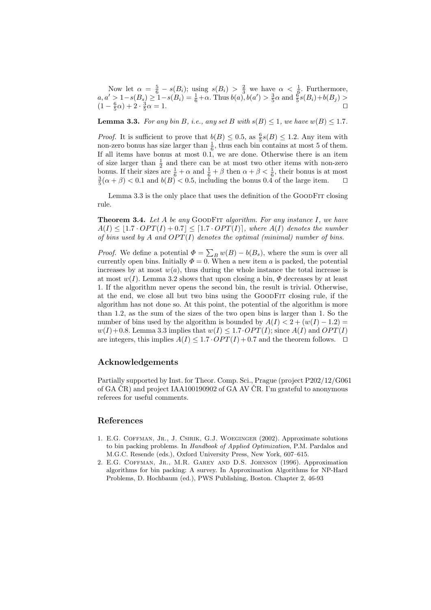Now let  $\alpha = \frac{5}{6} - s(B_i)$ ; using  $s(B_i) > \frac{2}{3}$  we have  $\alpha < \frac{1}{6}$ . Furthermore,  $a, a' > 1 - s(B_s) \geq 1 - s(B_i) = \frac{1}{6} + \alpha$ . Thus  $b(a), b(a') > \frac{3}{5}\alpha$  and  $\frac{6}{5}s(B_i) + b(B_j) >$  $(1 - \frac{6}{5}\alpha) + 2 \cdot \frac{3}{5}\alpha = 1.$ 

**Lemma 3.3.** For any bin B, i.e., any set B with  $s(B) \leq 1$ , we have  $w(B) \leq 1.7$ .

*Proof.* It is sufficient to prove that  $b(B) \leq 0.5$ , as  $\frac{6}{5}s(B) \leq 1.2$ . Any item with non-zero bonus has size larger than  $\frac{1}{6}$ , thus each bin contains at most 5 of them. If all items have bonus at most 0.1, we are done. Otherwise there is an item of size larger than  $\frac{1}{2}$  and there can be at most two other items with non-zero bonus. If their sizes are  $\frac{1}{6} + \alpha$  and  $\frac{1}{6} + \beta$  then  $\alpha + \beta < \frac{1}{6}$ , their bonus is at most  $\frac{3}{5}(\alpha + \beta) < 0.1$  and  $b(B) < 0.5$ , including the bonus 0.4 of the large item.

Lemma 3.3 is the only place that uses the definition of the GOODFIT closing rule.

**Theorem 3.4.** Let A be any GOODFIT algorithm. For any instance I, we have  $A(I) \leq |1.7 \cdot OPT(I) + 0.7| \leq [1.7 \cdot OPT(I)],$  where  $A(I)$  denotes the number of bins used by A and  $OPT(I)$  denotes the optimal (minimal) number of bins.

*Proof.* We define a potential  $\Phi = \sum_B w(B) - b(B_s)$ , where the sum is over all currently open bins. Initially  $\Phi = 0$ . When a new item a is packed, the potential increases by at most  $w(a)$ , thus during the whole instance the total increase is at most  $w(I)$ . Lemma 3.2 shows that upon closing a bin,  $\Phi$  decreases by at least 1. If the algorithm never opens the second bin, the result is trivial. Otherwise, at the end, we close all but two bins using the GoodFit closing rule, if the algorithm has not done so. At this point, the potential of the algorithm is more than 1.2, as the sum of the sizes of the two open bins is larger than 1. So the number of bins used by the algorithm is bounded by  $A(I) < 2 + (w(I) - 1.2) =$  $w(I) + 0.8$ . Lemma 3.3 implies that  $w(I) \leq 1.7 \cdot OPT(I)$ ; since  $A(I)$  and  $OPT(I)$ are integers, this implies  $A(I) \leq 1.7 \cdot OPT(I) + 0.7$  and the theorem follows.  $\Box$ 

### Acknowledgements

Partially supported by Inst. for Theor. Comp. Sci., Prague (project P202/12/G061 of GA  $\rm \check{C}R$ ) and project IAA100190902 of GA AV  $\rm \check{C}R$ . I'm grateful to anonymous referees for useful comments.

#### References

- 1. E.G. COFFMAN, JR., J. CSIRIK, G.J. WOEGINGER (2002). Approximate solutions to bin packing problems. In Handbook of Applied Optimization, P.M. Pardalos and M.G.C. Resende (eds.), Oxford University Press, New York, 607–615.
- 2. E.G. Coffman, Jr., M.R. Garey and D.S. Johnson (1996). Approximation algorithms for bin packing: A survey. In Approximation Algorithms for NP-Hard Problems, D. Hochbaum (ed.), PWS Publishing, Boston. Chapter 2, 46-93